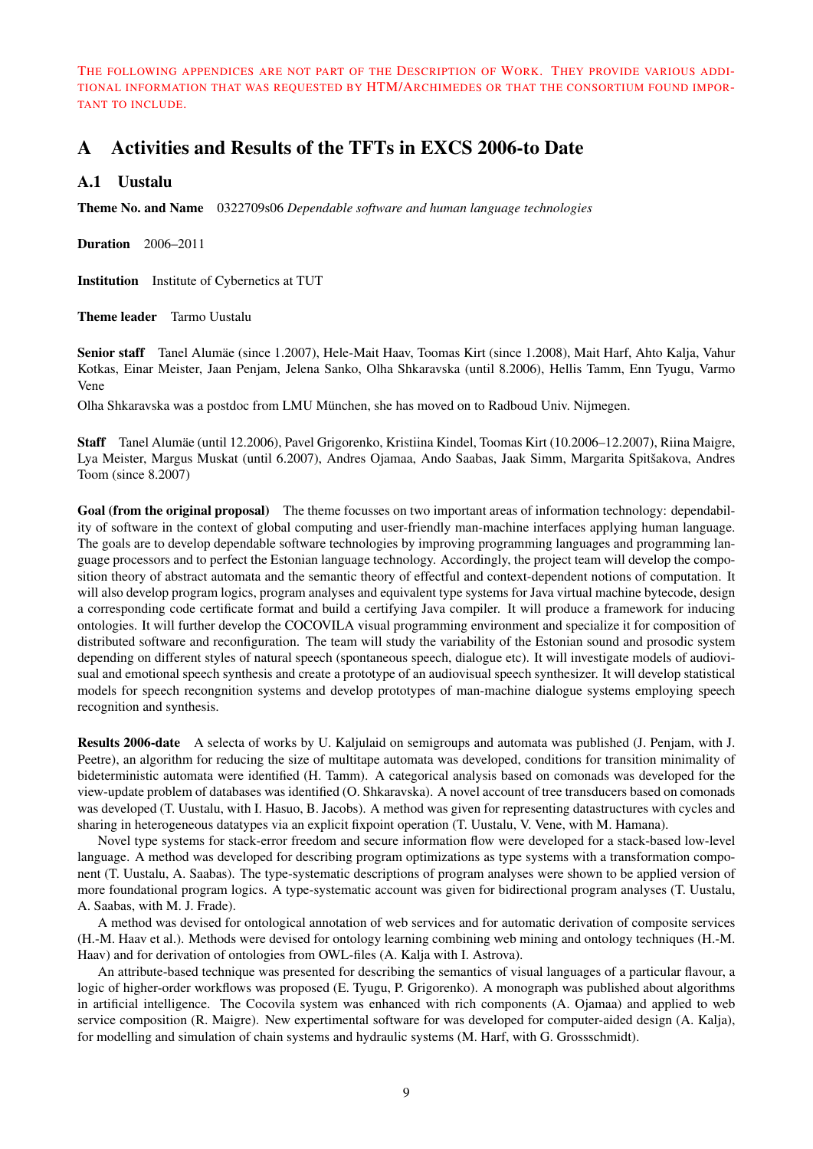THE FOLLOWING APPENDICES ARE NOT PART OF THE DESCRIPTION OF WORK. THEY PROVIDE VARIOUS ADDI-TIONAL INFORMATION THAT WAS REQUESTED BY HTM/ARCHIMEDES OR THAT THE CONSORTIUM FOUND IMPOR-TANT TO INCLUDE.

# A Activities and Results of the TFTs in EXCS 2006-to Date

### A.1 Uustalu

Theme No. and Name 0322709s06 *Dependable software and human language technologies*

Duration 2006–2011

Institution Institute of Cybernetics at TUT

Theme leader Tarmo Uustalu

Senior staff Tanel Alumäe (since 1.2007), Hele-Mait Haav, Toomas Kirt (since 1.2008), Mait Harf, Ahto Kalja, Vahur Kotkas, Einar Meister, Jaan Penjam, Jelena Sanko, Olha Shkaravska (until 8.2006), Hellis Tamm, Enn Tyugu, Varmo Vene

Olha Shkaravska was a postdoc from LMU Munchen, she has moved on to Radboud Univ. Nijmegen. ¨

Staff Tanel Alumae (until 12.2006), Pavel Grigorenko, Kristiina Kindel, Toomas Kirt (10.2006–12.2007), Riina Maigre, ¨ Lya Meister, Margus Muskat (until 6.2007), Andres Ojamaa, Ando Saabas, Jaak Simm, Margarita Spitšakova, Andres Toom (since 8.2007)

Goal (from the original proposal) The theme focusses on two important areas of information technology: dependability of software in the context of global computing and user-friendly man-machine interfaces applying human language. The goals are to develop dependable software technologies by improving programming languages and programming language processors and to perfect the Estonian language technology. Accordingly, the project team will develop the composition theory of abstract automata and the semantic theory of effectful and context-dependent notions of computation. It will also develop program logics, program analyses and equivalent type systems for Java virtual machine bytecode, design a corresponding code certificate format and build a certifying Java compiler. It will produce a framework for inducing ontologies. It will further develop the COCOVILA visual programming environment and specialize it for composition of distributed software and reconfiguration. The team will study the variability of the Estonian sound and prosodic system depending on different styles of natural speech (spontaneous speech, dialogue etc). It will investigate models of audiovisual and emotional speech synthesis and create a prototype of an audiovisual speech synthesizer. It will develop statistical models for speech recongnition systems and develop prototypes of man-machine dialogue systems employing speech recognition and synthesis.

Results 2006-date A selecta of works by U. Kaljulaid on semigroups and automata was published (J. Penjam, with J. Peetre), an algorithm for reducing the size of multitape automata was developed, conditions for transition minimality of bideterministic automata were identified (H. Tamm). A categorical analysis based on comonads was developed for the view-update problem of databases was identified (O. Shkaravska). A novel account of tree transducers based on comonads was developed (T. Uustalu, with I. Hasuo, B. Jacobs). A method was given for representing datastructures with cycles and sharing in heterogeneous datatypes via an explicit fixpoint operation (T. Uustalu, V. Vene, with M. Hamana).

Novel type systems for stack-error freedom and secure information flow were developed for a stack-based low-level language. A method was developed for describing program optimizations as type systems with a transformation component (T. Uustalu, A. Saabas). The type-systematic descriptions of program analyses were shown to be applied version of more foundational program logics. A type-systematic account was given for bidirectional program analyses (T. Uustalu, A. Saabas, with M. J. Frade).

A method was devised for ontological annotation of web services and for automatic derivation of composite services (H.-M. Haav et al.). Methods were devised for ontology learning combining web mining and ontology techniques (H.-M. Haav) and for derivation of ontologies from OWL-files (A. Kalja with I. Astrova).

An attribute-based technique was presented for describing the semantics of visual languages of a particular flavour, a logic of higher-order workflows was proposed (E. Tyugu, P. Grigorenko). A monograph was published about algorithms in artificial intelligence. The Cocovila system was enhanced with rich components (A. Ojamaa) and applied to web service composition (R. Maigre). New expertimental software for was developed for computer-aided design (A. Kalja), for modelling and simulation of chain systems and hydraulic systems (M. Harf, with G. Grossschmidt).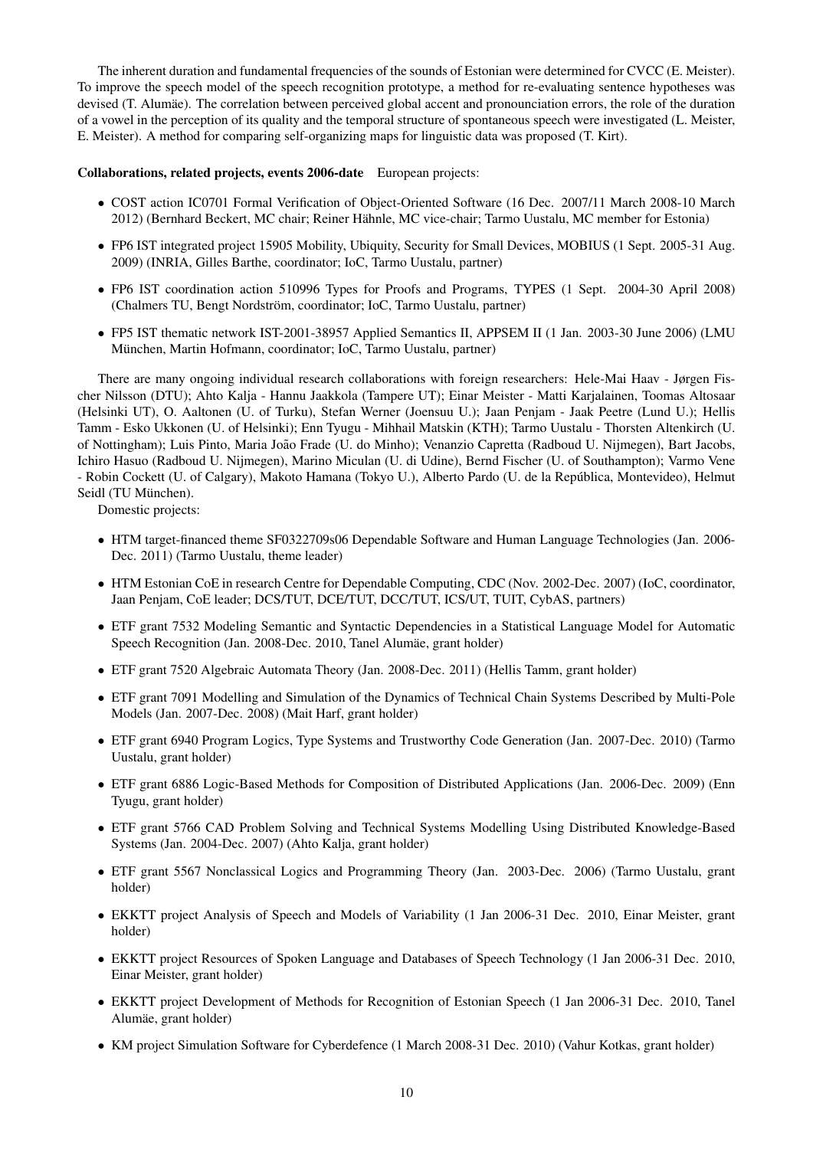The inherent duration and fundamental frequencies of the sounds of Estonian were determined for CVCC (E. Meister). To improve the speech model of the speech recognition prototype, a method for re-evaluating sentence hypotheses was devised (T. Alumae). The correlation between perceived global accent and pronounciation errors, the role of the duration of a vowel in the perception of its quality and the temporal structure of spontaneous speech were investigated (L. Meister, E. Meister). A method for comparing self-organizing maps for linguistic data was proposed (T. Kirt).

#### Collaborations, related projects, events 2006-date European projects:

- COST action IC0701 Formal Verification of Object-Oriented Software (16 Dec. 2007/11 March 2008-10 March 2012) (Bernhard Beckert, MC chair; Reiner Hahnle, MC vice-chair; Tarmo Uustalu, MC member for Estonia) ¨
- FP6 IST integrated project 15905 Mobility, Ubiquity, Security for Small Devices, MOBIUS (1 Sept. 2005-31 Aug. 2009) (INRIA, Gilles Barthe, coordinator; IoC, Tarmo Uustalu, partner)
- FP6 IST coordination action 510996 Types for Proofs and Programs, TYPES (1 Sept. 2004-30 April 2008) (Chalmers TU, Bengt Nordström, coordinator; IoC, Tarmo Uustalu, partner)
- FP5 IST thematic network IST-2001-38957 Applied Semantics II, APPSEM II (1 Jan. 2003-30 June 2006) (LMU Munchen, Martin Hofmann, coordinator; IoC, Tarmo Uustalu, partner) ¨

There are many ongoing individual research collaborations with foreign researchers: Hele-Mai Haav - Jørgen Fischer Nilsson (DTU); Ahto Kalja - Hannu Jaakkola (Tampere UT); Einar Meister - Matti Karjalainen, Toomas Altosaar (Helsinki UT), O. Aaltonen (U. of Turku), Stefan Werner (Joensuu U.); Jaan Penjam - Jaak Peetre (Lund U.); Hellis Tamm - Esko Ukkonen (U. of Helsinki); Enn Tyugu - Mihhail Matskin (KTH); Tarmo Uustalu - Thorsten Altenkirch (U. of Nottingham); Luis Pinto, Maria Joao Frade (U. do Minho); Venanzio Capretta (Radboud U. Nijmegen), Bart Jacobs, ˜ Ichiro Hasuo (Radboud U. Nijmegen), Marino Miculan (U. di Udine), Bernd Fischer (U. of Southampton); Varmo Vene - Robin Cockett (U. of Calgary), Makoto Hamana (Tokyo U.), Alberto Pardo (U. de la Republica, Montevideo), Helmut ´ Seidl (TU München).

Domestic projects:

- HTM target-financed theme SF0322709s06 Dependable Software and Human Language Technologies (Jan. 2006- Dec. 2011) (Tarmo Uustalu, theme leader)
- HTM Estonian CoE in research Centre for Dependable Computing, CDC (Nov. 2002-Dec. 2007) (IoC, coordinator, Jaan Penjam, CoE leader; DCS/TUT, DCE/TUT, DCC/TUT, ICS/UT, TUIT, CybAS, partners)
- ETF grant 7532 Modeling Semantic and Syntactic Dependencies in a Statistical Language Model for Automatic Speech Recognition (Jan. 2008-Dec. 2010, Tanel Alumäe, grant holder)
- ETF grant 7520 Algebraic Automata Theory (Jan. 2008-Dec. 2011) (Hellis Tamm, grant holder)
- ETF grant 7091 Modelling and Simulation of the Dynamics of Technical Chain Systems Described by Multi-Pole Models (Jan. 2007-Dec. 2008) (Mait Harf, grant holder)
- ETF grant 6940 Program Logics, Type Systems and Trustworthy Code Generation (Jan. 2007-Dec. 2010) (Tarmo Uustalu, grant holder)
- ETF grant 6886 Logic-Based Methods for Composition of Distributed Applications (Jan. 2006-Dec. 2009) (Enn Tyugu, grant holder)
- ETF grant 5766 CAD Problem Solving and Technical Systems Modelling Using Distributed Knowledge-Based Systems (Jan. 2004-Dec. 2007) (Ahto Kalja, grant holder)
- ETF grant 5567 Nonclassical Logics and Programming Theory (Jan. 2003-Dec. 2006) (Tarmo Uustalu, grant holder)
- EKKTT project Analysis of Speech and Models of Variability (1 Jan 2006-31 Dec. 2010, Einar Meister, grant holder)
- EKKTT project Resources of Spoken Language and Databases of Speech Technology (1 Jan 2006-31 Dec. 2010, Einar Meister, grant holder)
- EKKTT project Development of Methods for Recognition of Estonian Speech (1 Jan 2006-31 Dec. 2010, Tanel Alumae, grant holder) ¨
- KM project Simulation Software for Cyberdefence (1 March 2008-31 Dec. 2010) (Vahur Kotkas, grant holder)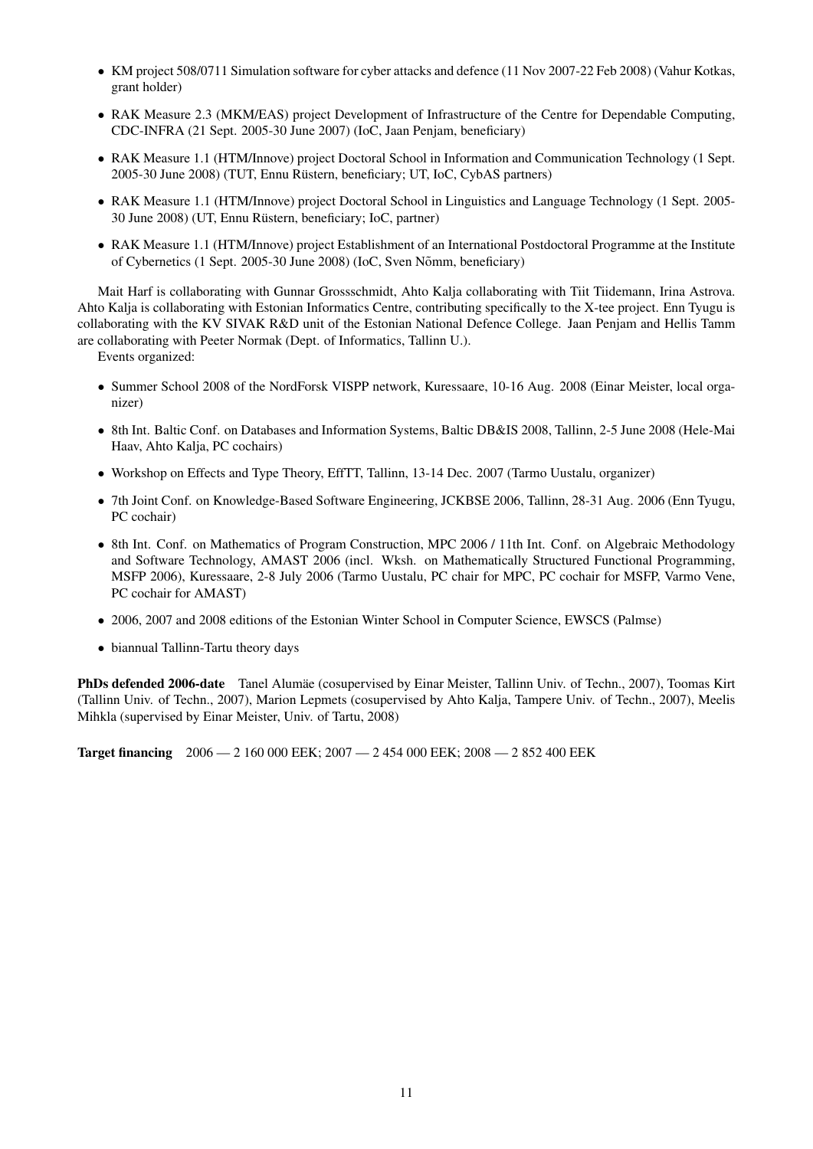- KM project 508/0711 Simulation software for cyber attacks and defence (11 Nov 2007-22 Feb 2008) (Vahur Kotkas, grant holder)
- RAK Measure 2.3 (MKM/EAS) project Development of Infrastructure of the Centre for Dependable Computing, CDC-INFRA (21 Sept. 2005-30 June 2007) (IoC, Jaan Penjam, beneficiary)
- RAK Measure 1.1 (HTM/Innove) project Doctoral School in Information and Communication Technology (1 Sept. 2005-30 June 2008) (TUT, Ennu Rustern, beneficiary; UT, IoC, CybAS partners) ¨
- RAK Measure 1.1 (HTM/Innove) project Doctoral School in Linguistics and Language Technology (1 Sept. 2005- 30 June 2008) (UT, Ennu Rustern, beneficiary; IoC, partner) ¨
- RAK Measure 1.1 (HTM/Innove) project Establishment of an International Postdoctoral Programme at the Institute of Cybernetics (1 Sept. 2005-30 June 2008) (IoC, Sven Nõmm, beneficiary)

Mait Harf is collaborating with Gunnar Grossschmidt, Ahto Kalja collaborating with Tiit Tiidemann, Irina Astrova. Ahto Kalja is collaborating with Estonian Informatics Centre, contributing specifically to the X-tee project. Enn Tyugu is collaborating with the KV SIVAK R&D unit of the Estonian National Defence College. Jaan Penjam and Hellis Tamm are collaborating with Peeter Normak (Dept. of Informatics, Tallinn U.).

Events organized:

- Summer School 2008 of the NordForsk VISPP network, Kuressaare, 10-16 Aug. 2008 (Einar Meister, local organizer)
- 8th Int. Baltic Conf. on Databases and Information Systems, Baltic DB&IS 2008, Tallinn, 2-5 June 2008 (Hele-Mai Haav, Ahto Kalja, PC cochairs)
- Workshop on Effects and Type Theory, EffTT, Tallinn, 13-14 Dec. 2007 (Tarmo Uustalu, organizer)
- 7th Joint Conf. on Knowledge-Based Software Engineering, JCKBSE 2006, Tallinn, 28-31 Aug. 2006 (Enn Tyugu, PC cochair)
- 8th Int. Conf. on Mathematics of Program Construction, MPC 2006 / 11th Int. Conf. on Algebraic Methodology and Software Technology, AMAST 2006 (incl. Wksh. on Mathematically Structured Functional Programming, MSFP 2006), Kuressaare, 2-8 July 2006 (Tarmo Uustalu, PC chair for MPC, PC cochair for MSFP, Varmo Vene, PC cochair for AMAST)
- 2006, 2007 and 2008 editions of the Estonian Winter School in Computer Science, EWSCS (Palmse)
- biannual Tallinn-Tartu theory days

PhDs defended 2006-date Tanel Alumae (cosupervised by Einar Meister, Tallinn Univ. of Techn., 2007), Toomas Kirt (Tallinn Univ. of Techn., 2007), Marion Lepmets (cosupervised by Ahto Kalja, Tampere Univ. of Techn., 2007), Meelis Mihkla (supervised by Einar Meister, Univ. of Tartu, 2008)

Target financing 2006 — 2 160 000 EEK; 2007 — 2 454 000 EEK; 2008 — 2 852 400 EEK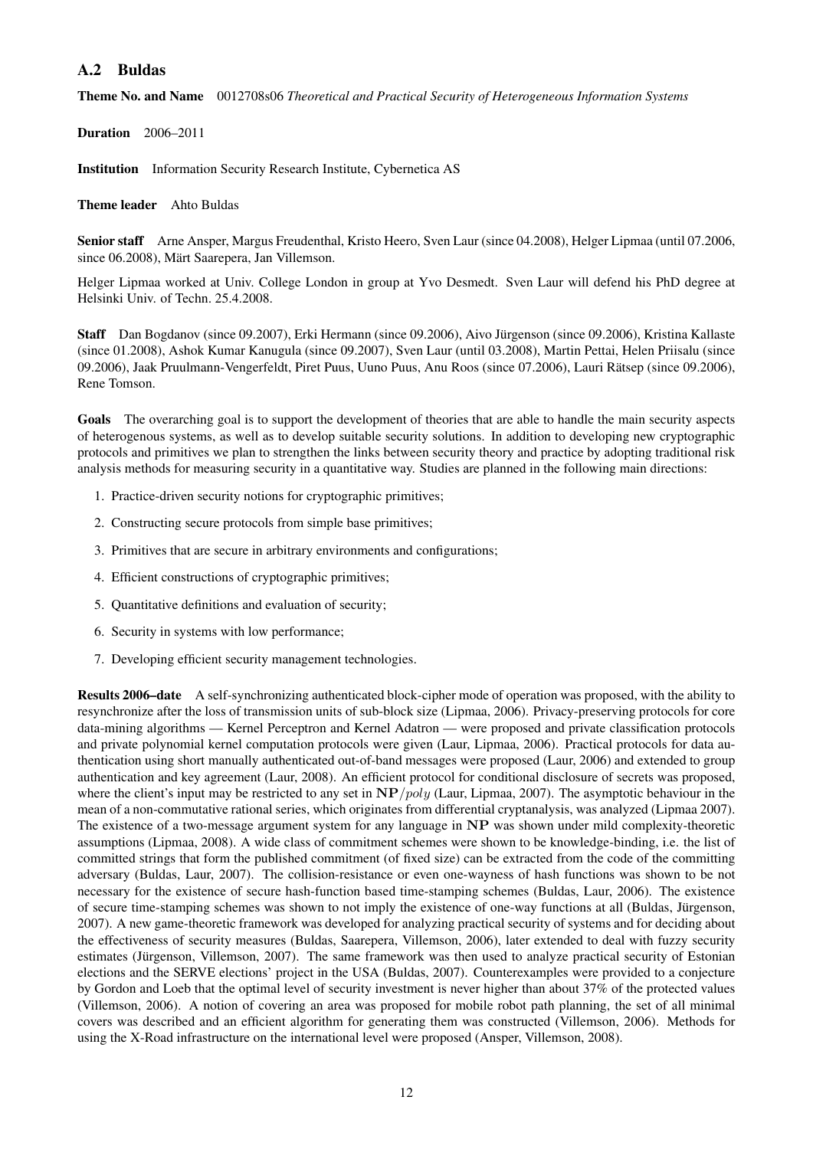## A.2 Buldas

Theme No. and Name 0012708s06 *Theoretical and Practical Security of Heterogeneous Information Systems*

Duration 2006–2011

Institution Information Security Research Institute, Cybernetica AS

Theme leader Ahto Buldas

Senior staff Arne Ansper, Margus Freudenthal, Kristo Heero, Sven Laur (since 04.2008), Helger Lipmaa (until 07.2006, since 06.2008), Märt Saarepera, Jan Villemson.

Helger Lipmaa worked at Univ. College London in group at Yvo Desmedt. Sven Laur will defend his PhD degree at Helsinki Univ. of Techn. 25.4.2008.

Staff Dan Bogdanov (since 09.2007), Erki Hermann (since 09.2006), Aivo Jürgenson (since 09.2006), Kristina Kallaste (since 01.2008), Ashok Kumar Kanugula (since 09.2007), Sven Laur (until 03.2008), Martin Pettai, Helen Priisalu (since 09.2006), Jaak Pruulmann-Vengerfeldt, Piret Puus, Uuno Puus, Anu Roos (since 07.2006), Lauri Rätsep (since 09.2006), Rene Tomson.

Goals The overarching goal is to support the development of theories that are able to handle the main security aspects of heterogenous systems, as well as to develop suitable security solutions. In addition to developing new cryptographic protocols and primitives we plan to strengthen the links between security theory and practice by adopting traditional risk analysis methods for measuring security in a quantitative way. Studies are planned in the following main directions:

- 1. Practice-driven security notions for cryptographic primitives;
- 2. Constructing secure protocols from simple base primitives;
- 3. Primitives that are secure in arbitrary environments and configurations;
- 4. Efficient constructions of cryptographic primitives;
- 5. Quantitative definitions and evaluation of security;
- 6. Security in systems with low performance;
- 7. Developing efficient security management technologies.

Results 2006–date A self-synchronizing authenticated block-cipher mode of operation was proposed, with the ability to resynchronize after the loss of transmission units of sub-block size (Lipmaa, 2006). Privacy-preserving protocols for core data-mining algorithms — Kernel Perceptron and Kernel Adatron — were proposed and private classification protocols and private polynomial kernel computation protocols were given (Laur, Lipmaa, 2006). Practical protocols for data authentication using short manually authenticated out-of-band messages were proposed (Laur, 2006) and extended to group authentication and key agreement (Laur, 2008). An efficient protocol for conditional disclosure of secrets was proposed, where the client's input may be restricted to any set in  $NP/poly$  (Laur, Lipmaa, 2007). The asymptotic behaviour in the mean of a non-commutative rational series, which originates from differential cryptanalysis, was analyzed (Lipmaa 2007). The existence of a two-message argument system for any language in NP was shown under mild complexity-theoretic assumptions (Lipmaa, 2008). A wide class of commitment schemes were shown to be knowledge-binding, i.e. the list of committed strings that form the published commitment (of fixed size) can be extracted from the code of the committing adversary (Buldas, Laur, 2007). The collision-resistance or even one-wayness of hash functions was shown to be not necessary for the existence of secure hash-function based time-stamping schemes (Buldas, Laur, 2006). The existence of secure time-stamping schemes was shown to not imply the existence of one-way functions at all (Buldas, Jürgenson, 2007). A new game-theoretic framework was developed for analyzing practical security of systems and for deciding about the effectiveness of security measures (Buldas, Saarepera, Villemson, 2006), later extended to deal with fuzzy security estimates (Jürgenson, Villemson, 2007). The same framework was then used to analyze practical security of Estonian elections and the SERVE elections' project in the USA (Buldas, 2007). Counterexamples were provided to a conjecture by Gordon and Loeb that the optimal level of security investment is never higher than about 37% of the protected values (Villemson, 2006). A notion of covering an area was proposed for mobile robot path planning, the set of all minimal covers was described and an efficient algorithm for generating them was constructed (Villemson, 2006). Methods for using the X-Road infrastructure on the international level were proposed (Ansper, Villemson, 2008).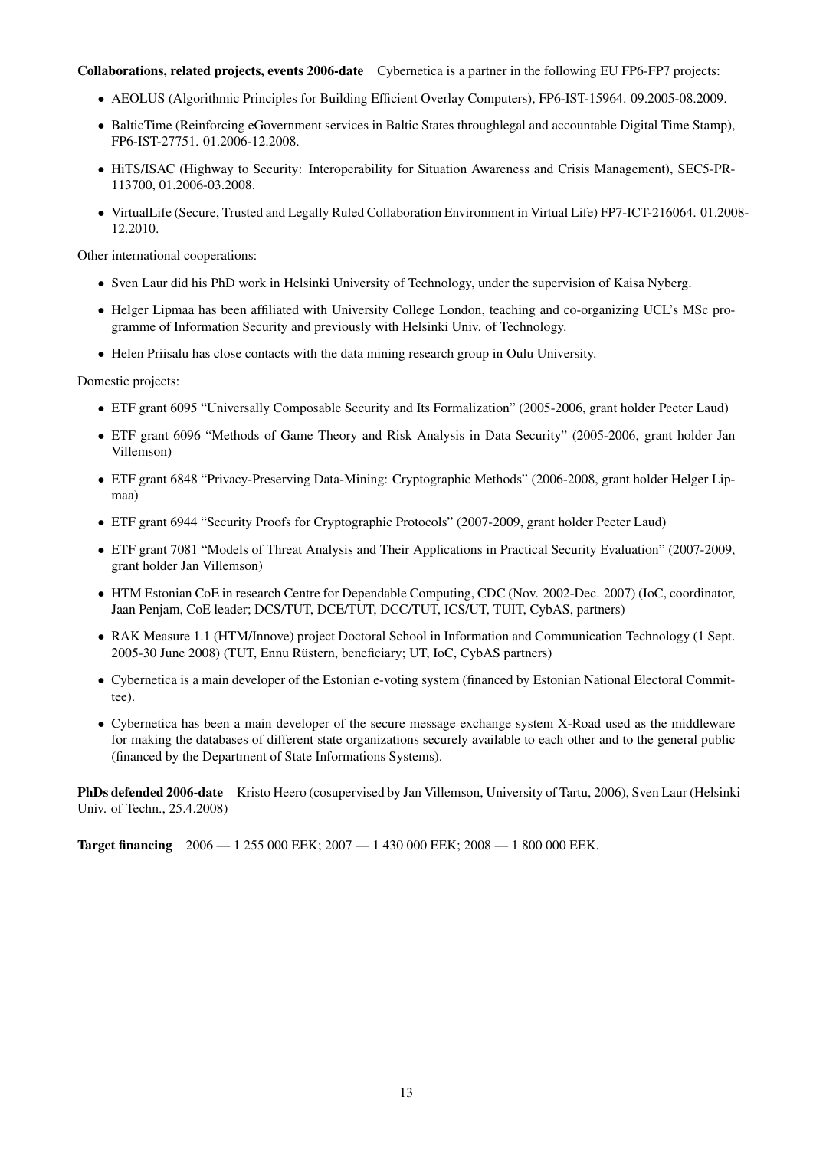#### Collaborations, related projects, events 2006-date Cybernetica is a partner in the following EU FP6-FP7 projects:

- AEOLUS (Algorithmic Principles for Building Efficient Overlay Computers), FP6-IST-15964. 09.2005-08.2009.
- BalticTime (Reinforcing eGovernment services in Baltic States throughlegal and accountable Digital Time Stamp), FP6-IST-27751. 01.2006-12.2008.
- HiTS/ISAC (Highway to Security: Interoperability for Situation Awareness and Crisis Management), SEC5-PR-113700, 01.2006-03.2008.
- VirtualLife (Secure, Trusted and Legally Ruled Collaboration Environment in Virtual Life) FP7-ICT-216064. 01.2008- 12.2010.

Other international cooperations:

- Sven Laur did his PhD work in Helsinki University of Technology, under the supervision of Kaisa Nyberg.
- Helger Lipmaa has been affiliated with University College London, teaching and co-organizing UCL's MSc programme of Information Security and previously with Helsinki Univ. of Technology.
- Helen Priisalu has close contacts with the data mining research group in Oulu University.

Domestic projects:

- ETF grant 6095 "Universally Composable Security and Its Formalization" (2005-2006, grant holder Peeter Laud)
- ETF grant 6096 "Methods of Game Theory and Risk Analysis in Data Security" (2005-2006, grant holder Jan Villemson)
- ETF grant 6848 "Privacy-Preserving Data-Mining: Cryptographic Methods" (2006-2008, grant holder Helger Lipmaa)
- ETF grant 6944 "Security Proofs for Cryptographic Protocols" (2007-2009, grant holder Peeter Laud)
- ETF grant 7081 "Models of Threat Analysis and Their Applications in Practical Security Evaluation" (2007-2009, grant holder Jan Villemson)
- HTM Estonian CoE in research Centre for Dependable Computing, CDC (Nov. 2002-Dec. 2007) (IoC, coordinator, Jaan Penjam, CoE leader; DCS/TUT, DCE/TUT, DCC/TUT, ICS/UT, TUIT, CybAS, partners)
- RAK Measure 1.1 (HTM/Innove) project Doctoral School in Information and Communication Technology (1 Sept. 2005-30 June 2008) (TUT, Ennu Rustern, beneficiary; UT, IoC, CybAS partners) ¨
- Cybernetica is a main developer of the Estonian e-voting system (financed by Estonian National Electoral Committee).
- Cybernetica has been a main developer of the secure message exchange system X-Road used as the middleware for making the databases of different state organizations securely available to each other and to the general public (financed by the Department of State Informations Systems).

PhDs defended 2006-date Kristo Heero (cosupervised by Jan Villemson, University of Tartu, 2006), Sven Laur (Helsinki Univ. of Techn., 25.4.2008)

**Target financing**  $2006 - 1255\,000\,\text{EEK}$ ;  $2007 - 1430\,000\,\text{EEK}$ ;  $2008 - 1800\,000\,\text{EEK}$ .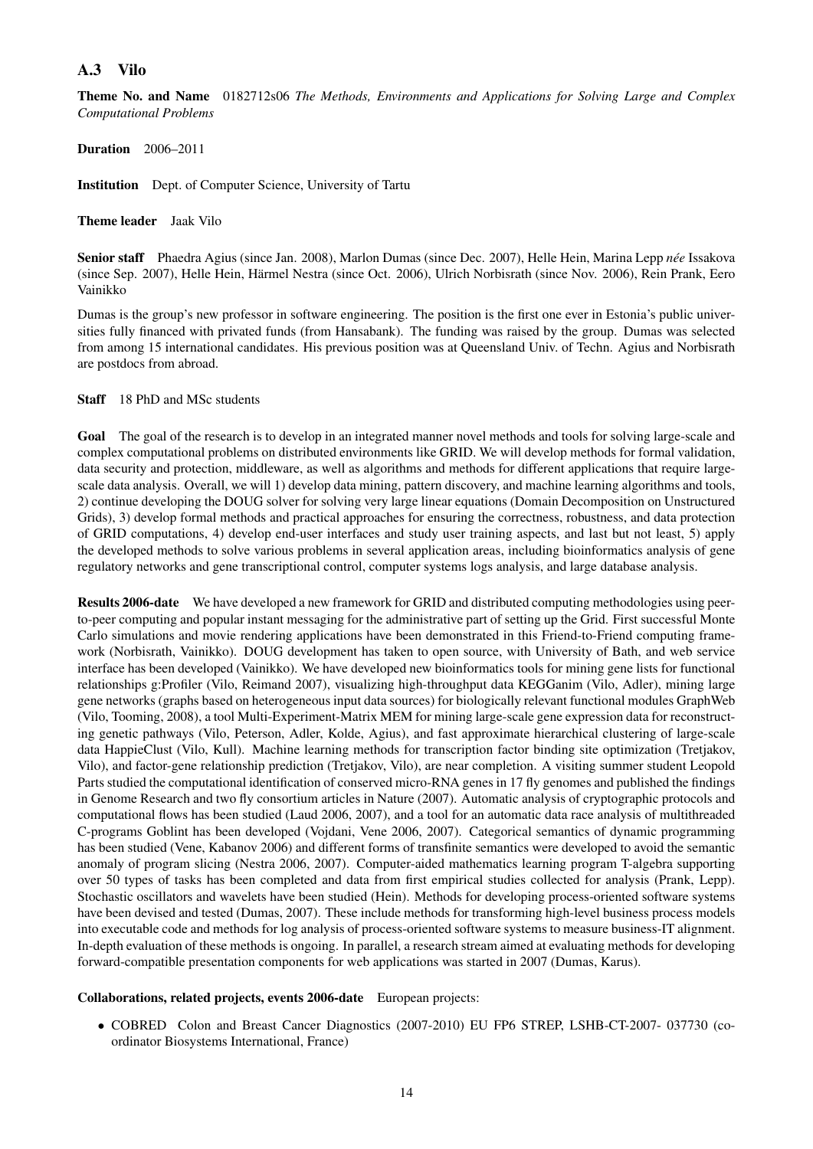### A.3 Vilo

Theme No. and Name 0182712s06 *The Methods, Environments and Applications for Solving Large and Complex Computational Problems*

Duration 2006–2011

Institution Dept. of Computer Science, University of Tartu

Theme leader Jaak Vilo

Senior staff Phaedra Agius (since Jan. 2008), Marlon Dumas (since Dec. 2007), Helle Hein, Marina Lepp *née* Issakova (since Sep. 2007), Helle Hein, Harmel Nestra (since Oct. 2006), Ulrich Norbisrath (since Nov. 2006), Rein Prank, Eero ¨ Vainikko

Dumas is the group's new professor in software engineering. The position is the first one ever in Estonia's public universities fully financed with privated funds (from Hansabank). The funding was raised by the group. Dumas was selected from among 15 international candidates. His previous position was at Queensland Univ. of Techn. Agius and Norbisrath are postdocs from abroad.

Staff 18 PhD and MSc students

Goal The goal of the research is to develop in an integrated manner novel methods and tools for solving large-scale and complex computational problems on distributed environments like GRID. We will develop methods for formal validation, data security and protection, middleware, as well as algorithms and methods for different applications that require largescale data analysis. Overall, we will 1) develop data mining, pattern discovery, and machine learning algorithms and tools, 2) continue developing the DOUG solver for solving very large linear equations (Domain Decomposition on Unstructured Grids), 3) develop formal methods and practical approaches for ensuring the correctness, robustness, and data protection of GRID computations, 4) develop end-user interfaces and study user training aspects, and last but not least, 5) apply the developed methods to solve various problems in several application areas, including bioinformatics analysis of gene regulatory networks and gene transcriptional control, computer systems logs analysis, and large database analysis.

Results 2006-date We have developed a new framework for GRID and distributed computing methodologies using peerto-peer computing and popular instant messaging for the administrative part of setting up the Grid. First successful Monte Carlo simulations and movie rendering applications have been demonstrated in this Friend-to-Friend computing framework (Norbisrath, Vainikko). DOUG development has taken to open source, with University of Bath, and web service interface has been developed (Vainikko). We have developed new bioinformatics tools for mining gene lists for functional relationships g:Profiler (Vilo, Reimand 2007), visualizing high-throughput data KEGGanim (Vilo, Adler), mining large gene networks (graphs based on heterogeneous input data sources) for biologically relevant functional modules GraphWeb (Vilo, Tooming, 2008), a tool Multi-Experiment-Matrix MEM for mining large-scale gene expression data for reconstructing genetic pathways (Vilo, Peterson, Adler, Kolde, Agius), and fast approximate hierarchical clustering of large-scale data HappieClust (Vilo, Kull). Machine learning methods for transcription factor binding site optimization (Tretjakov, Vilo), and factor-gene relationship prediction (Tretjakov, Vilo), are near completion. A visiting summer student Leopold Parts studied the computational identification of conserved micro-RNA genes in 17 fly genomes and published the findings in Genome Research and two fly consortium articles in Nature (2007). Automatic analysis of cryptographic protocols and computational flows has been studied (Laud 2006, 2007), and a tool for an automatic data race analysis of multithreaded C-programs Goblint has been developed (Vojdani, Vene 2006, 2007). Categorical semantics of dynamic programming has been studied (Vene, Kabanov 2006) and different forms of transfinite semantics were developed to avoid the semantic anomaly of program slicing (Nestra 2006, 2007). Computer-aided mathematics learning program T-algebra supporting over 50 types of tasks has been completed and data from first empirical studies collected for analysis (Prank, Lepp). Stochastic oscillators and wavelets have been studied (Hein). Methods for developing process-oriented software systems have been devised and tested (Dumas, 2007). These include methods for transforming high-level business process models into executable code and methods for log analysis of process-oriented software systems to measure business-IT alignment. In-depth evaluation of these methods is ongoing. In parallel, a research stream aimed at evaluating methods for developing forward-compatible presentation components for web applications was started in 2007 (Dumas, Karus).

#### Collaborations, related projects, events 2006-date European projects:

• COBRED Colon and Breast Cancer Diagnostics (2007-2010) EU FP6 STREP, LSHB-CT-2007- 037730 (coordinator Biosystems International, France)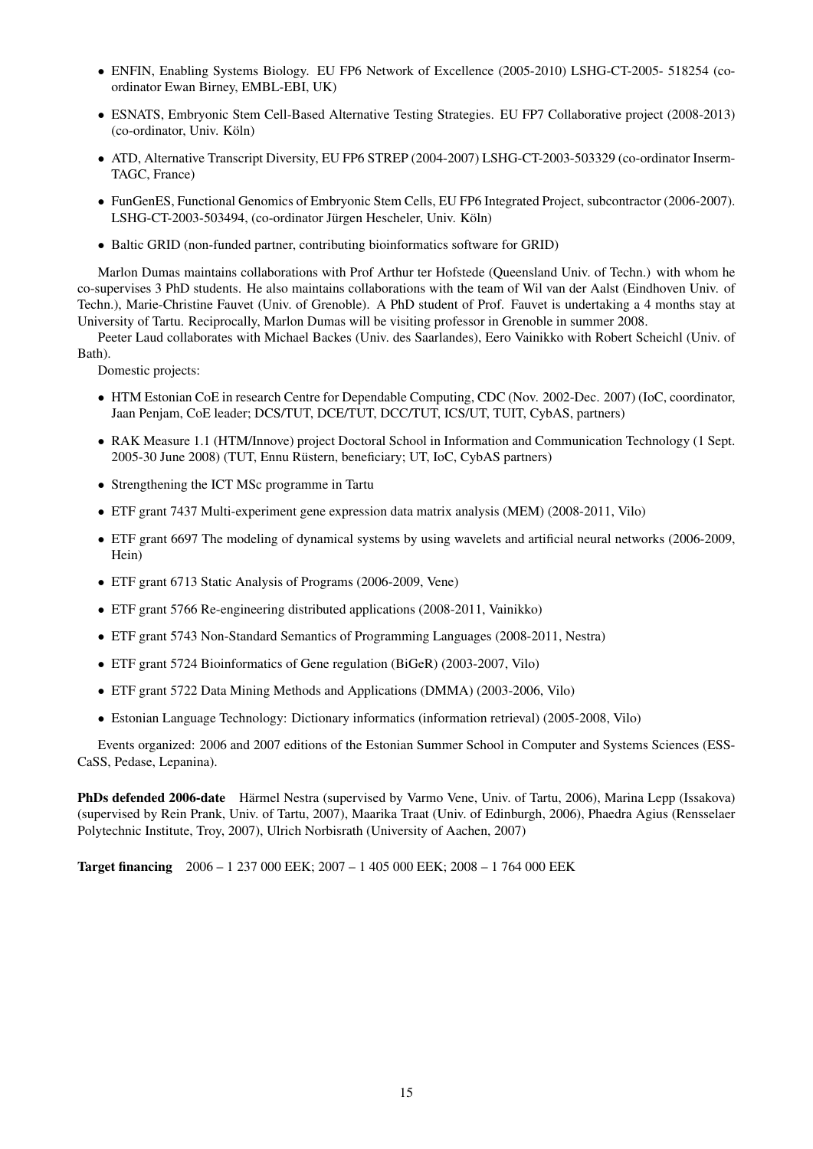- ENFIN, Enabling Systems Biology. EU FP6 Network of Excellence (2005-2010) LSHG-CT-2005- 518254 (coordinator Ewan Birney, EMBL-EBI, UK)
- ESNATS, Embryonic Stem Cell-Based Alternative Testing Strategies. EU FP7 Collaborative project (2008-2013) (co-ordinator, Univ. Köln)
- ATD, Alternative Transcript Diversity, EU FP6 STREP (2004-2007) LSHG-CT-2003-503329 (co-ordinator Inserm-TAGC, France)
- FunGenES, Functional Genomics of Embryonic Stem Cells, EU FP6 Integrated Project, subcontractor (2006-2007). LSHG-CT-2003-503494, (co-ordinator Jürgen Hescheler, Univ. Köln)
- Baltic GRID (non-funded partner, contributing bioinformatics software for GRID)

Marlon Dumas maintains collaborations with Prof Arthur ter Hofstede (Queensland Univ. of Techn.) with whom he co-supervises 3 PhD students. He also maintains collaborations with the team of Wil van der Aalst (Eindhoven Univ. of Techn.), Marie-Christine Fauvet (Univ. of Grenoble). A PhD student of Prof. Fauvet is undertaking a 4 months stay at University of Tartu. Reciprocally, Marlon Dumas will be visiting professor in Grenoble in summer 2008.

Peeter Laud collaborates with Michael Backes (Univ. des Saarlandes), Eero Vainikko with Robert Scheichl (Univ. of Bath).

Domestic projects:

- HTM Estonian CoE in research Centre for Dependable Computing, CDC (Nov. 2002-Dec. 2007) (IoC, coordinator, Jaan Penjam, CoE leader; DCS/TUT, DCE/TUT, DCC/TUT, ICS/UT, TUIT, CybAS, partners)
- RAK Measure 1.1 (HTM/Innove) project Doctoral School in Information and Communication Technology (1 Sept. 2005-30 June 2008) (TUT, Ennu Rustern, beneficiary; UT, IoC, CybAS partners) ¨
- Strengthening the ICT MSc programme in Tartu
- ETF grant 7437 Multi-experiment gene expression data matrix analysis (MEM) (2008-2011, Vilo)
- ETF grant 6697 The modeling of dynamical systems by using wavelets and artificial neural networks (2006-2009, Hein)
- ETF grant 6713 Static Analysis of Programs (2006-2009, Vene)
- ETF grant 5766 Re-engineering distributed applications (2008-2011, Vainikko)
- ETF grant 5743 Non-Standard Semantics of Programming Languages (2008-2011, Nestra)
- ETF grant 5724 Bioinformatics of Gene regulation (BiGeR) (2003-2007, Vilo)
- ETF grant 5722 Data Mining Methods and Applications (DMMA) (2003-2006, Vilo)
- Estonian Language Technology: Dictionary informatics (information retrieval) (2005-2008, Vilo)

Events organized: 2006 and 2007 editions of the Estonian Summer School in Computer and Systems Sciences (ESS-CaSS, Pedase, Lepanina).

PhDs defended 2006-date Harmel Nestra (supervised by Varmo Vene, Univ. of Tartu, 2006), Marina Lepp (Issakova) ¨ (supervised by Rein Prank, Univ. of Tartu, 2007), Maarika Traat (Univ. of Edinburgh, 2006), Phaedra Agius (Rensselaer Polytechnic Institute, Troy, 2007), Ulrich Norbisrath (University of Aachen, 2007)

Target financing 2006 – 1 237 000 EEK; 2007 – 1 405 000 EEK; 2008 – 1 764 000 EEK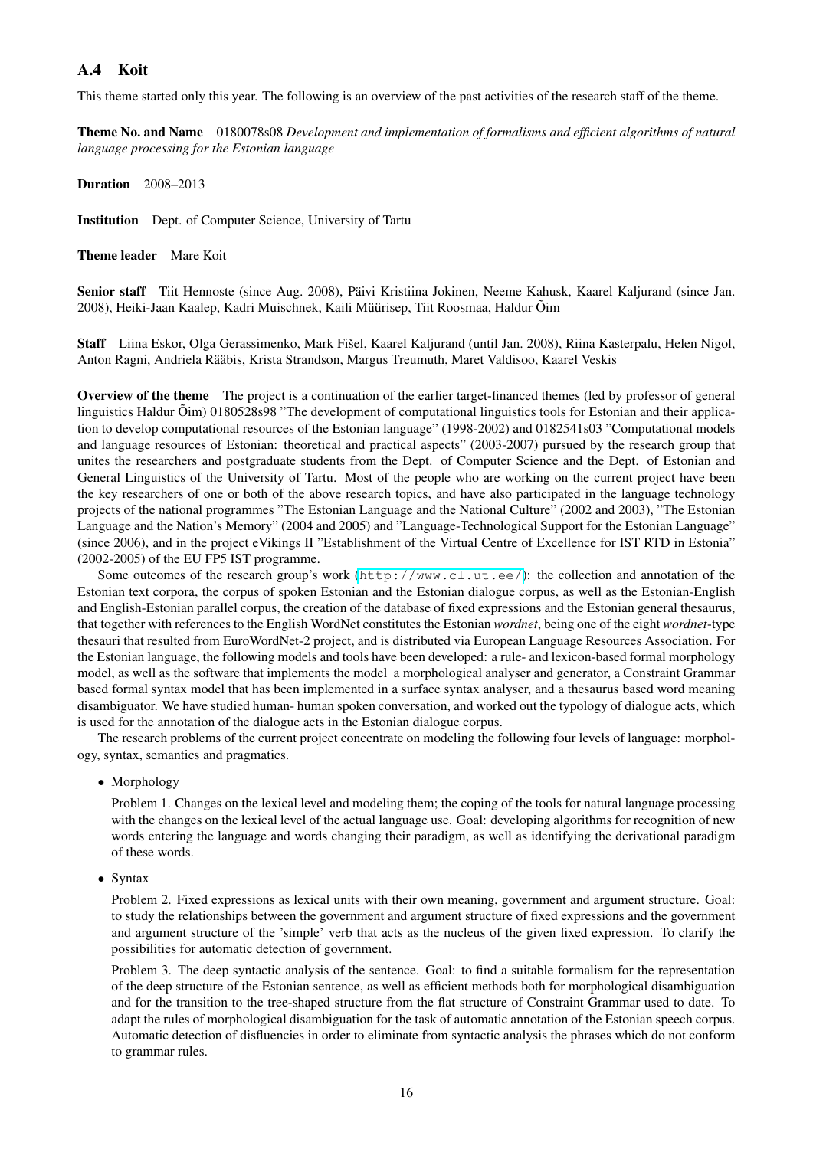## A.4 Koit

This theme started only this year. The following is an overview of the past activities of the research staff of the theme.

Theme No. and Name 0180078s08 *Development and implementation of formalisms and efficient algorithms of natural language processing for the Estonian language*

Duration 2008–2013

Institution Dept. of Computer Science, University of Tartu

Theme leader Mare Koit

Senior staff Tiit Hennoste (since Aug. 2008), Päivi Kristiina Jokinen, Neeme Kahusk, Kaarel Kaljurand (since Jan. 2008), Heiki-Jaan Kaalep, Kadri Muischnek, Kaili Müürisep, Tiit Roosmaa, Haldur Õim

Staff Liina Eskor, Olga Gerassimenko, Mark Fišel, Kaarel Kaljurand (until Jan. 2008), Riina Kasterpalu, Helen Nigol, Anton Ragni, Andriela Rääbis, Krista Strandson, Margus Treumuth, Maret Valdisoo, Kaarel Veskis

Overview of the theme The project is a continuation of the earlier target-financed themes (led by professor of general linguistics Haldur  $\tilde{O}$ im) 0180528s98 "The development of computational linguistics tools for Estonian and their application to develop computational resources of the Estonian language" (1998-2002) and 0182541s03 "Computational models and language resources of Estonian: theoretical and practical aspects" (2003-2007) pursued by the research group that unites the researchers and postgraduate students from the Dept. of Computer Science and the Dept. of Estonian and General Linguistics of the University of Tartu. Most of the people who are working on the current project have been the key researchers of one or both of the above research topics, and have also participated in the language technology projects of the national programmes "The Estonian Language and the National Culture" (2002 and 2003), "The Estonian Language and the Nation's Memory" (2004 and 2005) and "Language-Technological Support for the Estonian Language" (since 2006), and in the project eVikings II "Establishment of the Virtual Centre of Excellence for IST RTD in Estonia" (2002-2005) of the EU FP5 IST programme.

Some outcomes of the research group's work (<http://www.cl.ut.ee/>): the collection and annotation of the Estonian text corpora, the corpus of spoken Estonian and the Estonian dialogue corpus, as well as the Estonian-English and English-Estonian parallel corpus, the creation of the database of fixed expressions and the Estonian general thesaurus, that together with references to the English WordNet constitutes the Estonian *wordnet*, being one of the eight *wordnet*-type thesauri that resulted from EuroWordNet-2 project, and is distributed via European Language Resources Association. For the Estonian language, the following models and tools have been developed: a rule- and lexicon-based formal morphology model, as well as the software that implements the model a morphological analyser and generator, a Constraint Grammar based formal syntax model that has been implemented in a surface syntax analyser, and a thesaurus based word meaning disambiguator. We have studied human- human spoken conversation, and worked out the typology of dialogue acts, which is used for the annotation of the dialogue acts in the Estonian dialogue corpus.

The research problems of the current project concentrate on modeling the following four levels of language: morphology, syntax, semantics and pragmatics.

• Morphology

Problem 1. Changes on the lexical level and modeling them; the coping of the tools for natural language processing with the changes on the lexical level of the actual language use. Goal: developing algorithms for recognition of new words entering the language and words changing their paradigm, as well as identifying the derivational paradigm of these words.

• Syntax

Problem 2. Fixed expressions as lexical units with their own meaning, government and argument structure. Goal: to study the relationships between the government and argument structure of fixed expressions and the government and argument structure of the 'simple' verb that acts as the nucleus of the given fixed expression. To clarify the possibilities for automatic detection of government.

Problem 3. The deep syntactic analysis of the sentence. Goal: to find a suitable formalism for the representation of the deep structure of the Estonian sentence, as well as efficient methods both for morphological disambiguation and for the transition to the tree-shaped structure from the flat structure of Constraint Grammar used to date. To adapt the rules of morphological disambiguation for the task of automatic annotation of the Estonian speech corpus. Automatic detection of disfluencies in order to eliminate from syntactic analysis the phrases which do not conform to grammar rules.